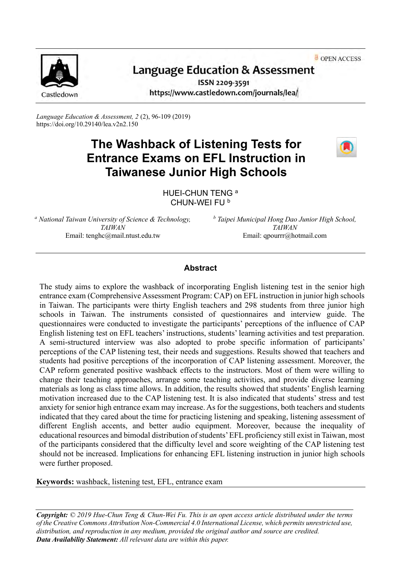OPEN ACCESS



# Language Education & Assessment

ISSN 2209-3591 https://www.castledown.com/journals/lea/

*Language Education & Assessment, 2* (2), 96-109 (2019) <https://doi.org/10.29140/lea.v2n2.150>

## **The Washback of Listening Tests for Entrance Exams on EFL Instruction in Taiwanese Junior High Schools**



HUEI-CHUN TENG<sup>a</sup> CHUN-WEI FU <sup>b</sup>

*<sup>a</sup> National Taiwan University of Science & Technology, TAIWAN* Email: tenghc@mail.ntust.edu.tw

*<sup>b</sup> Taipei Municipal Hong Dao Junior High School, TAIWAN* Email: qpourrr@hotmail.com

## **Abstract**

The study aims to explore the washback of incorporating English listening test in the senior high entrance exam (Comprehensive Assessment Program: CAP) on EFL instruction in junior high schools in Taiwan. The participants were thirty English teachers and 298 students from three junior high schools in Taiwan. The instruments consisted of questionnaires and interview guide. The questionnaires were conducted to investigate the participants' perceptions of the influence of CAP English listening test on EFL teachers' instructions, students' learning activities and test preparation. A semi-structured interview was also adopted to probe specific information of participants' perceptions of the CAP listening test, their needs and suggestions. Results showed that teachers and students had positive perceptions of the incorporation of CAP listening assessment. Moreover, the CAP reform generated positive washback effects to the instructors. Most of them were willing to change their teaching approaches, arrange some teaching activities, and provide diverse learning materials as long as class time allows. In addition, the results showed that students' English learning motivation increased due to the CAP listening test. It is also indicated that students' stress and test anxiety for senior high entrance exam may increase. As for the suggestions, both teachers and students indicated that they cared about the time for practicing listening and speaking, listening assessment of different English accents, and better audio equipment. Moreover, because the inequality of educational resources and bimodal distribution of students' EFL proficiency still exist in Taiwan, most of the participants considered that the difficulty level and score weighting of the CAP listening test should not be increased. Implications for enhancing EFL listening instruction in junior high schools were further proposed.

**Keywords:** washback, listening test, EFL, entrance exam

*Copyright: © 2019 Hue-Chun Teng & Chun-Wei Fu. This is an open access article distributed under the terms of th[e Creative Commons Attribution Non-Commercial 4.0 International License,](http://creativecommons.org/licenses/by-nc-nd/4.0) which permits unrestricted use, distribution, and reproduction in any medium, provided the original author and source are credited. Data Availability Statement: All relevant data are within this paper.*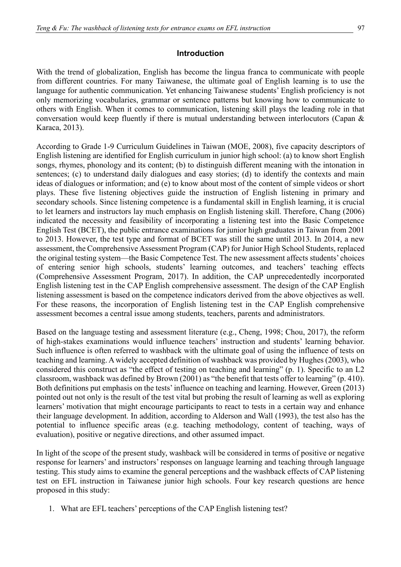## **Introduction**

With the trend of globalization, English has become the lingua franca to communicate with people from different countries. For many Taiwanese, the ultimate goal of English learning is to use the language for authentic communication. Yet enhancing Taiwanese students' English proficiency is not only memorizing vocabularies, grammar or sentence patterns but knowing how to communicate to others with English. When it comes to communication, listening skill plays the leading role in that conversation would keep fluently if there is mutual understanding between interlocutors (Capan & Karaca, 2013).

According to Grade 1-9 Curriculum Guidelines in Taiwan (MOE, 2008), five capacity descriptors of English listening are identified for English curriculum in junior high school: (a) to know short English songs, rhymes, phonology and its content; (b) to distinguish different meaning with the intonation in sentences; (c) to understand daily dialogues and easy stories; (d) to identify the contexts and main ideas of dialogues or information; and (e) to know about most of the content of simple videos or short plays. These five listening objectives guide the instruction of English listening in primary and secondary schools. Since listening competence is a fundamental skill in English learning, it is crucial to let learners and instructors lay much emphasis on English listening skill. Therefore, Chang (2006) indicated the necessity and feasibility of incorporating a listening test into the Basic Competence English Test (BCET), the public entrance examinations for junior high graduates in Taiwan from 2001 to 2013. However, the test type and format of BCET was still the same until 2013. In 2014, a new assessment, the Comprehensive Assessment Program (CAP) for Junior High School Students, replaced the original testing system—the Basic Competence Test. The new assessment affects students' choices of entering senior high schools, students' learning outcomes, and teachers' teaching effects (Comprehensive Assessment Program, 2017). In addition, the CAP unprecedentedly incorporated English listening test in the CAP English comprehensive assessment. The design of the CAP English listening assessment is based on the competence indicators derived from the above objectives as well. For these reasons, the incorporation of English listening test in the CAP English comprehensive assessment becomes a central issue among students, teachers, parents and administrators.

Based on the language testing and assessment literature (e.g., Cheng, 1998; Chou, 2017), the reform of high-stakes examinations would influence teachers' instruction and students' learning behavior. Such influence is often referred to washback with the ultimate goal of using the influence of tests on teaching and learning. A widely accepted definition of washback was provided by Hughes (2003), who considered this construct as "the effect of testing on teaching and learning" (p. 1). Specific to an L2 classroom, washback was defined by Brown (2001) as "the benefit that tests offer to learning" (p. 410). Both definitions put emphasis on the tests' influence on teaching and learning. However, Green (2013) pointed out not only is the result of the test vital but probing the result of learning as well as exploring learners' motivation that might encourage participants to react to tests in a certain way and enhance their language development. In addition, according to Alderson and Wall (1993), the test also has the potential to influence specific areas (e.g. teaching methodology, content of teaching, ways of evaluation), positive or negative directions, and other assumed impact.

In light of the scope of the present study, washback will be considered in terms of positive or negative response for learners' and instructors' responses on language learning and teaching through language testing. This study aims to examine the general perceptions and the washback effects of CAP listening test on EFL instruction in Taiwanese junior high schools. Four key research questions are hence proposed in this study:

1. What are EFL teachers' perceptions of the CAP English listening test?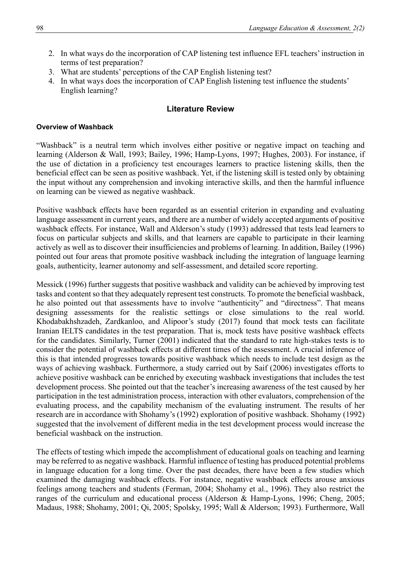- 2. In what ways do the incorporation of CAP listening test influence EFL teachers' instruction in terms of test preparation?
- 3. What are students' perceptions of the CAP English listening test?
- 4. In what ways does the incorporation of CAP English listening test influence the students' English learning?

## **Literature Review**

#### **Overview of Washback**

"Washback" is a neutral term which involves either positive or negative impact on teaching and learning (Alderson & Wall, 1993; Bailey, 1996; Hamp-Lyons, 1997; Hughes, 2003). For instance, if the use of dictation in a proficiency test encourages learners to practice listening skills, then the beneficial effect can be seen as positive washback. Yet, if the listening skill is tested only by obtaining the input without any comprehension and invoking interactive skills, and then the harmful influence on learning can be viewed as negative washback.

Positive washback effects have been regarded as an essential criterion in expanding and evaluating language assessment in current years, and there are a number of widely accepted arguments of positive washback effects. For instance, Wall and Alderson's study (1993) addressed that tests lead learners to focus on particular subjects and skills, and that learners are capable to participate in their learning actively as well as to discover their insufficiencies and problems of learning. In addition, Bailey (1996) pointed out four areas that promote positive washback including the integration of language learning goals, authenticity, learner autonomy and self-assessment, and detailed score reporting.

Messick (1996) further suggests that positive washback and validity can be achieved by improving test tasks and content so that they adequately represent test constructs. To promote the beneficial washback, he also pointed out that assessments have to involve "authenticity" and "directness". That means designing assessments for the realistic settings or close simulations to the real world. Khodabakhshzadeh, Zardkanloo, and Alipoor's study (2017) found that mock tests can facilitate Iranian IELTS candidates in the test preparation. That is, mock tests have positive washback effects for the candidates. Similarly, Turner (2001) indicated that the standard to rate high-stakes tests is to consider the potential of washback effects at different times of the assessment. A crucial inference of this is that intended progresses towards positive washback which needs to include test design as the ways of achieving washback. Furthermore, a study carried out by Saif (2006) investigates efforts to achieve positive washback can be enriched by executing washback investigations that includes the test development process. She pointed out that the teacher's increasing awareness of the test caused by her participation in the test administration process, interaction with other evaluators, comprehension of the evaluating process, and the capability mechanism of the evaluating instrument. The results of her research are in accordance with Shohamy's (1992) exploration of positive washback. Shohamy (1992) suggested that the involvement of different media in the test development process would increase the beneficial washback on the instruction.

The effects of testing which impede the accomplishment of educational goals on teaching and learning may be referred to as negative washback. Harmful influence of testing has produced potential problems in language education for a long time. Over the past decades, there have been a few studies which examined the damaging washback effects. For instance, negative washback effects arouse anxious feelings among teachers and students (Ferman, 2004; Shohamy et al., 1996). They also restrict the ranges of the curriculum and educational process (Alderson & Hamp-Lyons, 1996; Cheng, 2005; Madaus, 1988; Shohamy, 2001; Qi, 2005; Spolsky, 1995; Wall & Alderson; 1993). Furthermore, Wall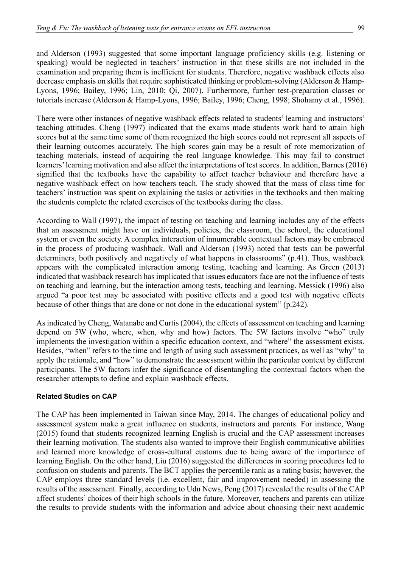and Alderson (1993) suggested that some important language proficiency skills (e.g. listening or speaking) would be neglected in teachers' instruction in that these skills are not included in the examination and preparing them is inefficient for students. Therefore, negative washback effects also decrease emphasis on skills that require sophisticated thinking or problem-solving (Alderson & Hamp-Lyons, 1996; Bailey, 1996; Lin, 2010; Qi, 2007). Furthermore, further test-preparation classes or tutorials increase (Alderson & Hamp-Lyons, 1996; Bailey, 1996; Cheng, 1998; Shohamy et al., 1996).

There were other instances of negative washback effects related to students' learning and instructors' teaching attitudes. Cheng (1997) indicated that the exams made students work hard to attain high scores but at the same time some of them recognized the high scores could not represent all aspects of their learning outcomes accurately. The high scores gain may be a result of rote memorization of teaching materials, instead of acquiring the real language knowledge. This may fail to construct learners' learning motivation and also affect the interpretations of test scores. In addition, Barnes (2016) signified that the textbooks have the capability to affect teacher behaviour and therefore have a negative washback effect on how teachers teach. The study showed that the mass of class time for teachers' instruction was spent on explaining the tasks or activities in the textbooks and then making the students complete the related exercises of the textbooks during the class.

According to Wall (1997), the impact of testing on teaching and learning includes any of the effects that an assessment might have on individuals, policies, the classroom, the school, the educational system or even the society. A complex interaction of innumerable contextual factors may be embraced in the process of producing washback. Wall and Alderson (1993) noted that tests can be powerful determiners, both positively and negatively of what happens in classrooms" (p.41). Thus, washback appears with the complicated interaction among testing, teaching and learning. As Green (2013) indicated that washback research has implicated that issues educators face are not the influence of tests on teaching and learning, but the interaction among tests, teaching and learning. Messick (1996) also argued "a poor test may be associated with positive effects and a good test with negative effects because of other things that are done or not done in the educational system" (p.242).

As indicated by Cheng, Watanabe and Curtis (2004), the effects of assessment on teaching and learning depend on 5W (who, where, when, why and how) factors. The 5W factors involve "who" truly implements the investigation within a specific education context, and "where" the assessment exists. Besides, "when" refers to the time and length of using such assessment practices, as well as "why" to apply the rationale, and "how" to demonstrate the assessment within the particular context by different participants. The 5W factors infer the significance of disentangling the contextual factors when the researcher attempts to define and explain washback effects.

## **Related Studies on CAP**

The CAP has been implemented in Taiwan since May, 2014. The changes of educational policy and assessment system make a great influence on students, instructors and parents. For instance, Wang (2015) found that students recognized learning English is crucial and the CAP assessment increases their learning motivation. The students also wanted to improve their English communicative abilities and learned more knowledge of cross-cultural customs due to being aware of the importance of learning English. On the other hand, Liu (2016) suggested the differences in scoring procedures led to confusion on students and parents. The BCT applies the percentile rank as a rating basis; however, the CAP employs three standard levels (i.e. excellent, fair and improvement needed) in assessing the results of the assessment. Finally, according to Udn News, Peng (2017) revealed the results of the CAP affect students' choices of their high schools in the future. Moreover, teachers and parents can utilize the results to provide students with the information and advice about choosing their next academic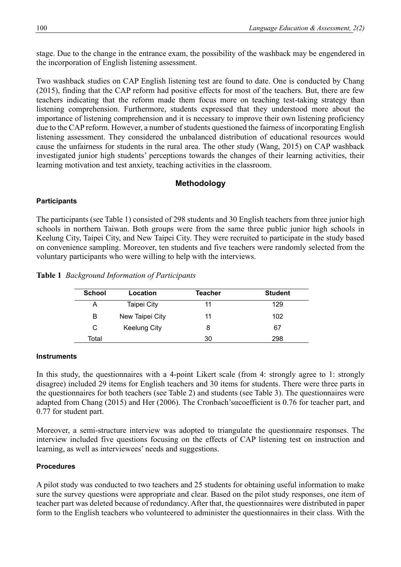stage. Due to the change in the entrance exam, the possibility of the washback may be engendered in the incorporation of English listening assessment.

Two washback studies on CAP English listening test are found to date. One is conducted by Chang (2015), finding that the CAP reform had positive effects for most of the teachers. But, there are few teachers indicating that the reform made them focus more on teaching test-taking strategy than listening comprehension. Furthermore, students expressed that they understood more about the importance of listening comprehension and it is necessary to improve their own listening proficiency due to the CAP reform. However, a number of students questioned the fairness of incorporating English listening assessment. They considered the unbalanced distribution of educational resources would cause the unfairness for students in the rural area. The other study (Wang, 2015) on CAP washback investigated junior high students' perceptions towards the changes of their learning activities, their learning motivation and test anxiety, teaching activities in the classroom.

## **Methodology**

### **Participants**

The participants (see Table 1) consisted of 298 students and 30 English teachers from three junior high schools in northern Taiwan. Both groups were from the same three public junior high schools in Keelung City, Taipei City, and New Taipei City. They were recruited to participate in the study based on convenience sampling. Moreover, ten students and five teachers were randomly selected from the voluntary participants who were willing to help with the interviews.

|  |  |  | Table 1 Background Information of Participants |
|--|--|--|------------------------------------------------|
|--|--|--|------------------------------------------------|

| <b>School</b> | Location            | Teacher | <b>Student</b> |
|---------------|---------------------|---------|----------------|
|               | Taipei City         | 11      | 129            |
| В             | New Taipei City     | 11      | 102            |
| C             | <b>Keelung City</b> |         | 67             |
| Total         |                     | 30      | 298            |

#### **Instruments**

In this study, the questionnaires with a 4-point Likert scale (from 4: strongly agree to 1: strongly disagree) included 29 items for English teachers and 30 items for students. There were three parts in the questionnaires for both teachers (see Table 2) and students (see Table 3). The questionnaires were adapted from Chang (2015) and Her (2006). The Cronbach'sαcoefficient is 0.76 for teacher part, and 0.77 for student part.

Moreover, a semi-structure interview was adopted to triangulate the questionnaire responses. The interview included five questions focusing on the effects of CAP listening test on instruction and learning, as well as interviewees' needs and suggestions.

#### **Procedures**

A pilot study was conducted to two teachers and 25 students for obtaining useful information to make sure the survey questions were appropriate and clear. Based on the pilot study responses, one item of teacher part was deleted because of redundancy. After that, the questionnaires were distributed in paper form to the English teachers who volunteered to administer the questionnaires in their class. With the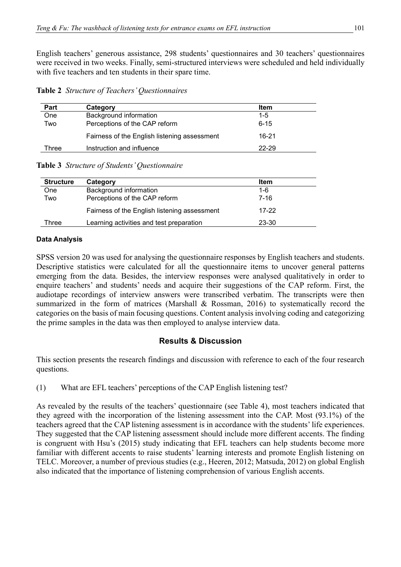English teachers' generous assistance, 298 students' questionnaires and 30 teachers' questionnaires were received in two weeks. Finally, semi-structured interviews were scheduled and held individually with five teachers and ten students in their spare time.

|  |  |  | Table 2 Structure of Teachers' Questionnaires |
|--|--|--|-----------------------------------------------|
|--|--|--|-----------------------------------------------|

| Part  | Category                                     | Item     |  |
|-------|----------------------------------------------|----------|--|
| One   | Background information                       | $1 - 5$  |  |
| Two   | Perceptions of the CAP reform                | $6 - 15$ |  |
|       | Fairness of the English listening assessment | 16-21    |  |
| Three | Instruction and influence                    | 22-29    |  |

#### **Table 3** *Structure of Students' Questionnaire*

| <b>Structure</b> | Category                                     | <b>Item</b> |  |
|------------------|----------------------------------------------|-------------|--|
| One              | Background information                       | $1 - 6$     |  |
| Two              | Perceptions of the CAP reform                | 7-16        |  |
|                  | Fairness of the English listening assessment | $17-22$     |  |
| Three            | Learning activities and test preparation     | 23-30       |  |

#### **Data Analysis**

SPSS version 20 was used for analysing the questionnaire responses by English teachers and students. Descriptive statistics were calculated for all the questionnaire items to uncover general patterns emerging from the data. Besides, the interview responses were analysed qualitatively in order to enquire teachers' and students' needs and acquire their suggestions of the CAP reform. First, the audiotape recordings of interview answers were transcribed verbatim. The transcripts were then summarized in the form of matrices (Marshall & Rossman, 2016) to systematically record the categories on the basis of main focusing questions. Content analysis involving coding and categorizing the prime samples in the data was then employed to analyse interview data.

## **Results & Discussion**

This section presents the research findings and discussion with reference to each of the four research questions.

(1) What are EFL teachers' perceptions of the CAP English listening test?

As revealed by the results of the teachers' questionnaire (see Table 4), most teachers indicated that they agreed with the incorporation of the listening assessment into the CAP. Most (93.1%) of the teachers agreed that the CAP listening assessment is in accordance with the students' life experiences. They suggested that the CAP listening assessment should include more different accents. The finding is congruent with Hsu's (2015) study indicating that EFL teachers can help students become more familiar with different accents to raise students' learning interests and promote English listening on TELC. Moreover, a number of previous studies (e.g., Heeren, 2012; Matsuda, 2012) on global English also indicated that the importance of listening comprehension of various English accents.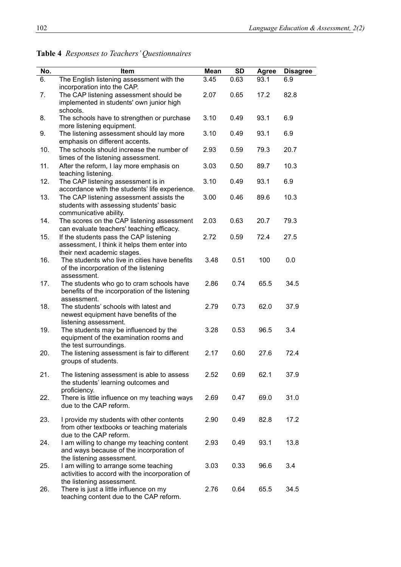| No. | Item                                                                                                                     | <b>Mean</b> | <b>SD</b> | <b>Agree</b> | <b>Disagree</b> |
|-----|--------------------------------------------------------------------------------------------------------------------------|-------------|-----------|--------------|-----------------|
| 6.  | The English listening assessment with the<br>incorporation into the CAP.                                                 | 3.45        | 0.63      | 93.1         | 6.9             |
| 7.  | The CAP listening assessment should be<br>implemented in students' own junior high<br>schools.                           | 2.07        | 0.65      | 17.2         | 82.8            |
| 8.  | The schools have to strengthen or purchase<br>more listening equipment.                                                  | 3.10        | 0.49      | 93.1         | 6.9             |
| 9.  | The listening assessment should lay more<br>emphasis on different accents.                                               | 3.10        | 0.49      | 93.1         | 6.9             |
| 10. | The schools should increase the number of<br>times of the listening assessment.                                          | 2.93        | 0.59      | 79.3         | 20.7            |
| 11. | After the reform, I lay more emphasis on<br>teaching listening.                                                          | 3.03        | 0.50      | 89.7         | 10.3            |
| 12. | The CAP listening assessment is in<br>accordance with the students' life experience.                                     | 3.10        | 0.49      | 93.1         | 6.9             |
| 13. | The CAP listening assessment assists the<br>students with assessing students' basic<br>communicative ability.            | 3.00        | 0.46      | 89.6         | 10.3            |
| 14. | The scores on the CAP listening assessment<br>can evaluate teachers' teaching efficacy.                                  | 2.03        | 0.63      | 20.7         | 79.3            |
| 15. | If the students pass the CAP listening<br>assessment, I think it helps them enter into                                   | 2.72        | 0.59      | 72.4         | 27.5            |
| 16. | their next academic stages.<br>The students who live in cities have benefits<br>of the incorporation of the listening    | 3.48        | 0.51      | 100          | 0.0             |
| 17. | assessment.<br>The students who go to cram schools have<br>benefits of the incorporation of the listening<br>assessment. | 2.86        | 0.74      | 65.5         | 34.5            |
| 18. | The students' schools with latest and<br>newest equipment have benefits of the                                           | 2.79        | 0.73      | 62.0         | 37.9            |
| 19. | listening assessment.<br>The students may be influenced by the<br>equipment of the examination rooms and                 | 3.28        | 0.53      | 96.5         | 3.4             |
| 20. | the test surroundings.<br>The listening assessment is fair to different<br>groups of students.                           | 2.17        | 0.60      | 27.6         | 72.4            |
| 21. | The listening assessment is able to assess<br>the students' learning outcomes and<br>proficiency.                        | 2.52        | 0.69      | 62.1         | 37.9            |
| 22. | There is little influence on my teaching ways<br>due to the CAP reform.                                                  | 2.69        | 0.47      | 69.0         | 31.0            |
| 23. | I provide my students with other contents<br>from other textbooks or teaching materials                                  | 2.90        | 0.49      | 82.8         | 17.2            |
| 24. | due to the CAP reform.<br>I am willing to change my teaching content<br>and ways because of the incorporation of         | 2.93        | 0.49      | 93.1         | 13.8            |
| 25. | the listening assessment.<br>I am willing to arrange some teaching<br>activities to accord with the incorporation of     | 3.03        | 0.33      | 96.6         | 3.4             |
| 26. | the listening assessment.<br>There is just a little influence on my<br>teaching content due to the CAP reform.           | 2.76        | 0.64      | 65.5         | 34.5            |

## **Table 4** *Responses to Teachers' Questionnaires*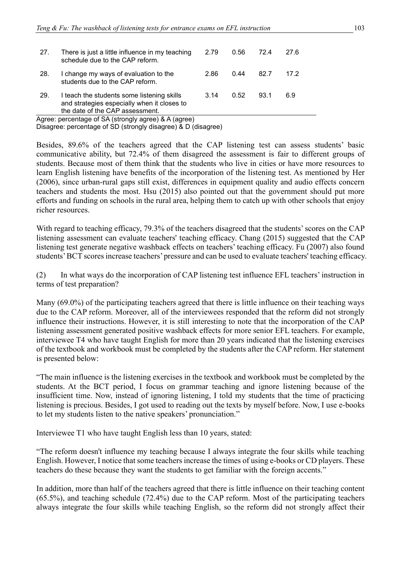| 27.                                                  | There is just a little influence in my teaching<br>schedule due to the CAP reform.                                           | 2.79 | 0.56 | 72.4 | 27.6 |
|------------------------------------------------------|------------------------------------------------------------------------------------------------------------------------------|------|------|------|------|
| 28.                                                  | I change my ways of evaluation to the<br>students due to the CAP reform.                                                     | 2.86 | 0.44 | 82.7 | 17 2 |
| 29.                                                  | I teach the students some listening skills<br>and strategies especially when it closes to<br>the date of the CAP assessment. | 3.14 | 0.52 | 93.1 | 6.9  |
| Agree: percentage of SA (strongly agree) & A (agree) |                                                                                                                              |      |      |      |      |

.gree: percentage of SA (strongly agree) & A (agree) Disagree: percentage of SD (strongly disagree) & D (disagree)

Besides, 89.6% of the teachers agreed that the CAP listening test can assess students' basic communicative ability, but 72.4% of them disagreed the assessment is fair to different groups of students. Because most of them think that the students who live in cities or have more resources to learn English listening have benefits of the incorporation of the listening test. As mentioned by Her (2006), since urban-rural gaps still exist, differences in equipment quality and audio effects concern teachers and students the most. Hsu (2015) also pointed out that the government should put more efforts and funding on schools in the rural area, helping them to catch up with other schools that enjoy richer resources.

With regard to teaching efficacy, 79.3% of the teachers disagreed that the students' scores on the CAP listening assessment can evaluate teachers' teaching efficacy. Chang (2015) suggested that the CAP listening test generate negative washback effects on teachers' teaching efficacy. Fu (2007) also found students' BCT scores increase teachers' pressure and can be used to evaluate teachers' teaching efficacy.

(2) In what ways do the incorporation of CAP listening test influence EFL teachers' instruction in terms of test preparation?

Many (69.0%) of the participating teachers agreed that there is little influence on their teaching ways due to the CAP reform. Moreover, all of the interviewees responded that the reform did not strongly influence their instructions. However, it is still interesting to note that the incorporation of the CAP listening assessment generated positive washback effects for more senior EFL teachers. For example, interviewee T4 who have taught English for more than 20 years indicated that the listening exercises of the textbook and workbook must be completed by the students after the CAP reform. Her statement is presented below:

"The main influence is the listening exercises in the textbook and workbook must be completed by the students. At the BCT period, I focus on grammar teaching and ignore listening because of the insufficient time. Now, instead of ignoring listening, I told my students that the time of practicing listening is precious. Besides, I got used to reading out the texts by myself before. Now, I use e-books to let my students listen to the native speakers' pronunciation."

Interviewee T1 who have taught English less than 10 years, stated:

"The reform doesn't influence my teaching because I always integrate the four skills while teaching English. However, I notice that some teachers increase the times of using e-books or CD players. These teachers do these because they want the students to get familiar with the foreign accents."

In addition, more than half of the teachers agreed that there is little influence on their teaching content (65.5%), and teaching schedule (72.4%) due to the CAP reform. Most of the participating teachers always integrate the four skills while teaching English, so the reform did not strongly affect their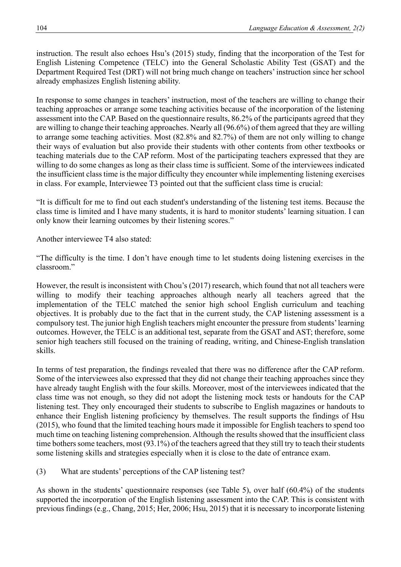instruction. The result also echoes Hsu's (2015) study, finding that the incorporation of the Test for English Listening Competence (TELC) into the General Scholastic Ability Test (GSAT) and the Department Required Test (DRT) will not bring much change on teachers' instruction since her school already emphasizes English listening ability.

In response to some changes in teachers' instruction, most of the teachers are willing to change their teaching approaches or arrange some teaching activities because of the incorporation of the listening assessment into the CAP. Based on the questionnaire results, 86.2% of the participants agreed that they are willing to change their teaching approaches. Nearly all (96.6%) of them agreed that they are willing to arrange some teaching activities. Most (82.8% and 82.7%) of them are not only willing to change their ways of evaluation but also provide their students with other contents from other textbooks or teaching materials due to the CAP reform. Most of the participating teachers expressed that they are willing to do some changes as long as their class time is sufficient. Some of the interviewees indicated the insufficient class time is the major difficulty they encounter while implementing listening exercises in class. For example, Interviewee T3 pointed out that the sufficient class time is crucial:

"It is difficult for me to find out each student's understanding of the listening test items. Because the class time is limited and I have many students, it is hard to monitor students' learning situation. I can only know their learning outcomes by their listening scores."

Another interviewee T4 also stated:

"The difficulty is the time. I don't have enough time to let students doing listening exercises in the classroom."

However, the result is inconsistent with Chou's (2017) research, which found that not all teachers were willing to modify their teaching approaches although nearly all teachers agreed that the implementation of the TELC matched the senior high school English curriculum and teaching objectives. It is probably due to the fact that in the current study, the CAP listening assessment is a compulsory test. The junior high English teachers might encounter the pressure from students' learning outcomes. However, the TELC is an additional test, separate from the GSAT and AST; therefore, some senior high teachers still focused on the training of reading, writing, and Chinese-English translation skills.

In terms of test preparation, the findings revealed that there was no difference after the CAP reform. Some of the interviewees also expressed that they did not change their teaching approaches since they have already taught English with the four skills. Moreover, most of the interviewees indicated that the class time was not enough, so they did not adopt the listening mock tests or handouts for the CAP listening test. They only encouraged their students to subscribe to English magazines or handouts to enhance their English listening proficiency by themselves. The result supports the findings of Hsu (2015), who found that the limited teaching hours made it impossible for English teachers to spend too much time on teaching listening comprehension. Although the results showed that the insufficient class time bothers some teachers, most (93.1%) of the teachers agreed that they still try to teach their students some listening skills and strategies especially when it is close to the date of entrance exam.

(3) What are students' perceptions of the CAP listening test?

As shown in the students' questionnaire responses (see Table 5), over half (60.4%) of the students supported the incorporation of the English listening assessment into the CAP. This is consistent with previous findings (e.g., Chang, 2015; Her, 2006; Hsu, 2015) that it is necessary to incorporate listening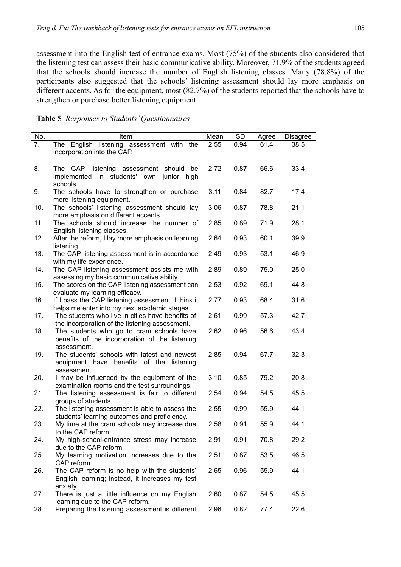assessment into the English test of entrance exams. Most (75%) of the students also considered that the listening test can assess their basic communicative ability. Moreover, 71.9% of the students agreed that the schools should increase the number of English listening classes. Many (78.8%) of the participants also suggested that the schools' listening assessment should lay more emphasis on different accents. As for the equipment, most (82.7%) of the students reported that the schools have to strengthen or purchase better listening equipment.

**Table 5** *Responses to Students' Questionnaires*

| No. | Item                                               | Mean | SD   | Agree | Disagree |
|-----|----------------------------------------------------|------|------|-------|----------|
| 7.  | The English listening assessment with the          | 2.55 | 0.94 | 61.4  | 38.5     |
|     | incorporation into the CAP.                        |      |      |       |          |
|     |                                                    |      |      |       |          |
|     |                                                    |      |      |       |          |
| 8.  | The CAP listening assessment should be             | 2.72 | 0.87 | 66.6  | 33.4     |
|     | in students' own junior high<br>implemented        |      |      |       |          |
|     | schools.                                           |      |      |       |          |
| 9.  | The schools have to strengthen or purchase         | 3.11 | 0.84 | 82.7  | 17.4     |
|     | more listening equipment.                          |      |      |       |          |
| 10. | The schools' listening assessment should lay       | 3.06 | 0.87 | 78.8  | 21.1     |
|     | more emphasis on different accents.                |      |      |       |          |
| 11. | The schools should increase the number of          | 2.85 | 0.89 | 71.9  | 28.1     |
|     | English listening classes.                         |      |      |       |          |
| 12. | After the reform, I lay more emphasis on learning  | 2.64 | 0.93 | 60.1  | 39.9     |
|     | listening.                                         |      |      |       |          |
| 13. | The CAP listening assessment is in accordance      | 2.49 | 0.93 | 53.1  | 46.9     |
|     | with my life experience.                           |      |      |       |          |
| 14. | The CAP listening assessment assists me with       | 2.89 | 0.89 | 75.0  | 25.0     |
|     | assessing my basic communicative ability.          |      |      |       |          |
| 15. | The scores on the CAP listening assessment can     | 2.53 | 0.92 | 69.1  | 44.8     |
|     | evaluate my learning efficacy.                     |      |      |       |          |
| 16. | If I pass the CAP listening assessment, I think it | 2.77 | 0.93 | 68.4  | 31.6     |
|     |                                                    |      |      |       |          |
|     | helps me enter into my next academic stages.       |      |      |       |          |
| 17. | The students who live in cities have benefits of   | 2.61 | 0.99 | 57.3  | 42.7     |
|     | the incorporation of the listening assessment.     |      |      |       |          |
| 18. | The students who go to cram schools have           | 2.62 | 0.96 | 56.6  | 43.4     |
|     | benefits of the incorporation of the listening     |      |      |       |          |
|     | assessment.                                        |      |      |       |          |
| 19. | The students' schools with latest and newest       | 2.85 | 0.94 | 67.7  | 32.3     |
|     | equipment have benefits of the listening           |      |      |       |          |
|     | assessment.                                        |      |      |       |          |
| 20. | I may be influenced by the equipment of the        | 3.10 | 0.85 | 79.2  | 20.8     |
|     | examination rooms and the test surroundings.       |      |      |       |          |
| 21. | The listening assessment is fair to different      | 2.54 | 0.94 | 54.5  | 45.5     |
|     | groups of students.                                |      |      |       |          |
| 22. | The listening assessment is able to assess the     | 2.55 | 0.99 | 55.9  | 44.1     |
|     | students' learning outcomes and proficiency.       |      |      |       |          |
| 23. | My time at the cram schools may increase due       | 2.58 | 0.91 | 55.9  | 44.1     |
|     | to the CAP reform.                                 |      |      |       |          |
| 24. | My high-school-entrance stress may increase        | 2.91 | 0.91 | 70.8  | 29.2     |
|     | due to the CAP reform.                             |      |      |       |          |
| 25. | My learning motivation increases due to the        | 2.51 | 0.87 | 53.5  | 46.5     |
|     | CAP reform.                                        |      |      |       |          |
| 26. | The CAP reform is no help with the students'       | 2.65 | 0.96 | 55.9  | 44.1     |
|     | English learning; instead, it increases my test    |      |      |       |          |
|     | anxiety.                                           |      |      |       |          |
| 27. | There is just a little influence on my English     | 2.60 | 0.87 | 54.5  | 45.5     |
|     | learning due to the CAP reform.                    |      |      |       |          |
| 28. | Preparing the listening assessment is different    | 2.96 | 0.82 | 77.4  | 22.6     |
|     |                                                    |      |      |       |          |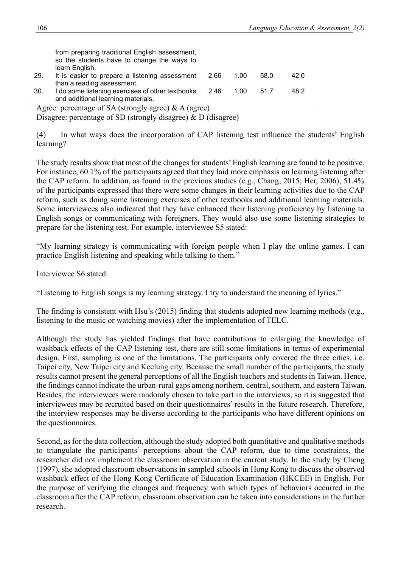from preparing traditional English assessment, so the students have to change the ways to learn English.

- 29. It is easier to prepare a listening assessment than a reading assessment. 2.66 1.00 58.0 42.0 30. I do some listening exercises of other textbooks 2.46 1.00 51.7 48.2
- and additional learning materials.

Agree: percentage of SA (strongly agree)  $\&$  A (agree)

Disagree: percentage of SD (strongly disagree) & D (disagree)

(4) In what ways does the incorporation of CAP listening test influence the students' English learning?

The study results show that most of the changes for students' English learning are found to be positive. For instance, 60.1% of the participants agreed that they laid more emphasis on learning listening after the CAP reform. In addition, as found in the previous studies (e.g., Chang, 2015; Her, 2006), 51.4% of the participants expressed that there were some changes in their learning activities due to the CAP reform, such as doing some listening exercises of other textbooks and additional learning materials. Some interviewees also indicated that they have enhanced their listening proficiency by listening to English songs or communicating with foreigners. They would also use some listening strategies to prepare for the listening test. For example, interviewee S5 stated:

"My learning strategy is communicating with foreign people when I play the online games. I can practice English listening and speaking while talking to them."

Interviewee S6 stated:

"Listening to English songs is my learning strategy. I try to understand the meaning of lyrics."

The finding is consistent with Hsu's (2015) finding that students adopted new learning methods (e.g., listening to the music or watching movies) after the implementation of TELC.

Although the study has yielded findings that have contributions to enlarging the knowledge of washback effects of the CAP listening test, there are still some limitations in terms of experimental design. First, sampling is one of the limitations. The participants only covered the three cities, i.e. Taipei city, New Taipei city and Keelung city. Because the small number of the participants, the study results cannot present the general perceptions of all the English teachers and students in Taiwan. Hence, the findings cannot indicate the urban-rural gaps among northern, central, southern, and eastern Taiwan. Besides, the interviewees were randomly chosen to take part in the interviews, so it is suggested that interviewees may be recruited based on their questionnaires' results in the future research. Therefore, the interview responses may be diverse according to the participants who have different opinions on the questionnaires.

Second, as for the data collection, although the study adopted both quantitative and qualitative methods to triangulate the participants' perceptions about the CAP reform, due to time constraints, the researcher did not implement the classroom observation in the current study. In the study by Cheng (1997), she adopted classroom observations in sampled schools in Hong Kong to discuss the observed washback effect of the Hong Kong Certificate of Education Examination (HKCEE) in English. For the purpose of verifying the changes and frequency with which types of behaviors occurred in the classroom after the CAP reform, classroom observation can be taken into considerations in the further research.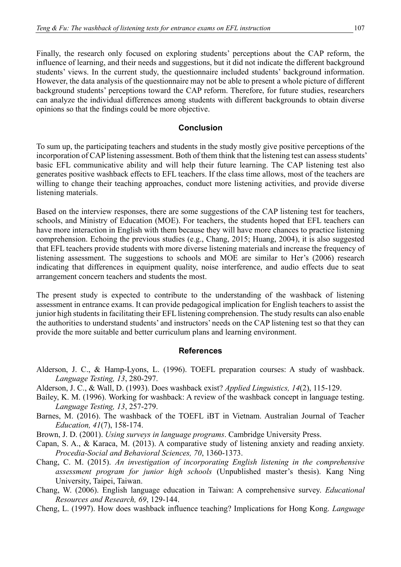Finally, the research only focused on exploring students' perceptions about the CAP reform, the influence of learning, and their needs and suggestions, but it did not indicate the different background students' views. In the current study, the questionnaire included students' background information. However, the data analysis of the questionnaire may not be able to present a whole picture of different background students' perceptions toward the CAP reform. Therefore, for future studies, researchers can analyze the individual differences among students with different backgrounds to obtain diverse opinions so that the findings could be more objective.

## **Conclusion**

To sum up, the participating teachers and students in the study mostly give positive perceptions of the incorporation of CAP listening assessment. Both of them think that the listening test can assess students' basic EFL communicative ability and will help their future learning. The CAP listening test also generates positive washback effects to EFL teachers. If the class time allows, most of the teachers are willing to change their teaching approaches, conduct more listening activities, and provide diverse listening materials.

Based on the interview responses, there are some suggestions of the CAP listening test for teachers, schools, and Ministry of Education (MOE). For teachers, the students hoped that EFL teachers can have more interaction in English with them because they will have more chances to practice listening comprehension. Echoing the previous studies (e.g., Chang, 2015; Huang, 2004), it is also suggested that EFL teachers provide students with more diverse listening materials and increase the frequency of listening assessment. The suggestions to schools and MOE are similar to Her's (2006) research indicating that differences in equipment quality, noise interference, and audio effects due to seat arrangement concern teachers and students the most.

The present study is expected to contribute to the understanding of the washback of listening assessment in entrance exams. It can provide pedagogical implication for English teachers to assist the junior high students in facilitating their EFL listening comprehension. The study results can also enable the authorities to understand students' and instructors' needs on the CAP listening test so that they can provide the more suitable and better curriculum plans and learning environment.

## **References**

- Alderson, J. C., & Hamp-Lyons, L. (1996). TOEFL preparation courses: A study of washback. *Language Testing, 13*, 280-297.
- Alderson, J. C., & Wall, D. (1993). Does washback exist? *Applied Linguistics, 14*(2), 115-129.
- Bailey, K. M. (1996). Working for washback: A review of the washback concept in language testing. *Language Testing, 13*, 257-279.
- Barnes, M. (2016). The washback of the TOEFL iBT in Vietnam. Australian Journal of Teacher *Education, 41*(7), 158-174.
- Brown, J. D. (2001). *Using surveys in language programs*. Cambridge University Press.
- Capan, S. A., & Karaca, M. (2013). A comparative study of listening anxiety and reading anxiety. *Procedia-Social and Behavioral Sciences, 70*, 1360-1373.
- Chang, C. M. (2015). *An investigation of incorporating English listening in the comprehensive assessment program for junior high schools* (Unpublished master's thesis). Kang Ning University, Taipei, Taiwan.
- Chang, W. (2006). English language education in Taiwan: A comprehensive survey. *Educational Resources and Research, 69*, 129-144.

Cheng, L. (1997). How does washback influence teaching? Implications for Hong Kong. *Language*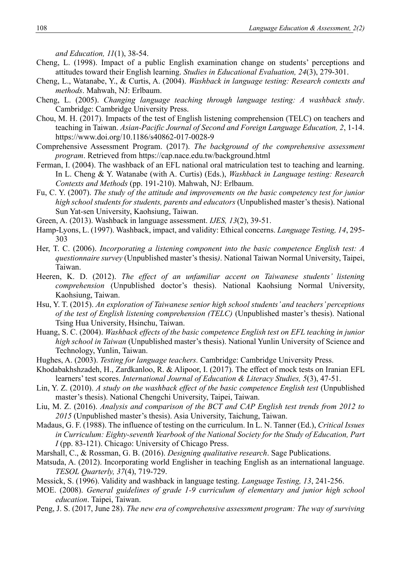*and Education, 11*(1), 38-54.

- Cheng, L. (1998). Impact of a public English examination change on students' perceptions and attitudes toward their English learning. *Studies in Educational Evaluation, 24*(3), 279-301.
- Cheng, L., Watanabe, Y., & Curtis, A. (2004). *Washback in language testing: Research contexts and methods*. Mahwah, NJ: Erlbaum.
- Cheng, L. (2005). *Changing language teaching through language testing: A washback study*. Cambridge: Cambridge University Press.
- Chou, M. H. (2017). Impacts of the test of English listening comprehension (TELC) on teachers and teaching in Taiwan. *Asian-Pacific Journal of Second and Foreign Language Education, 2*, 1-14. https://www.doi.org/10.1186/s40862-017-0028-9
- Comprehensive Assessment Program. (2017). *The background of the comprehensive assessment program*. Retrieved from https://cap.nace.edu.tw/background.html
- Ferman, I. (2004). The washback of an EFL national oral matriculation test to teaching and learning. In L. Cheng & Y. Watanabe (with A. Curtis) (Eds.), *Washback in Language testing: Research Contexts and Methods* (pp. 191-210). Mahwah, NJ: Erlbaum.
- Fu, C. Y. (2007). *The study of the attitude and improvements on the basic competency test for junior high school students for students, parents and educators* (Unpublished master's thesis). National Sun Yat-sen University, Kaohsiung, Taiwan.
- Green, A. (2013). Washback in language assessment. *IJES, 13*(2), 39-51.
- Hamp-Lyons, L. (1997). Washback, impact, and validity: Ethical concerns. *Language Testing, 14*, 295- 303
- Her, T. C. (2006). *Incorporating a listening component into the basic competence English test: A questionnaire survey* (Unpublished master's thesis*)*. National Taiwan Normal University, Taipei, Taiwan.
- Heeren, K. D. (2012). *The effect of an unfamiliar accent on Taiwanese students' listening comprehension* (Unpublished doctor's thesis). National Kaohsiung Normal University, Kaohsiung, Taiwan.
- Hsu, Y. T. (2015). *An exploration of Taiwanese senior high school students' and teachers' perceptions of the test of English listening comprehension (TELC)* (Unpublished master's thesis). National Tsing Hua University, Hsinchu, Taiwan.
- Huang, S. C. (2004). *Washback effects of the basic competence English test on EFL teaching in junior high school in Taiwan* (Unpublished master's thesis). National Yunlin University of Science and Technology, Yunlin, Taiwan.
- Hughes, A. (2003). *Testing for language teachers.* Cambridge: Cambridge University Press.
- Khodabakhshzadeh, H., Zardkanloo, R. & Alipoor, I. (2017). The effect of mock tests on Iranian EFL learners' test scores. *International Journal of Education & Literacy Studies, 5*(3), 47-51.
- Lin, Y. Z. (2010). *A study on the washback effect of the basic competence English test* (Unpublished master's thesis). National Chengchi University, Taipei, Taiwan.
- Liu, M. Z. (2016). *Analysis and comparison of the BCT and CAP English test trends from 2012 to 2015* (Unpublished master's thesis). Asia University, Taichung, Taiwan.
- Madaus, G. F. (1988). The influence of testing on the curriculum. In L. N. Tanner (Ed.), *Critical Issues in Curriculum: Eighty-seventh Yearbook of the National Society for the Study of Education, Part I* (pp. 83-121). Chicago: University of Chicago Press.
- Marshall, C., & Rossman, G. B. (2016). *Designing qualitative research*. Sage Publications.
- Matsuda, A. (2012). Incorporating world Englisher in teaching English as an international language. *TESOL Quarterly, 37*(4), 719-729.
- Messick, S. (1996). Validity and washback in language testing. *Language Testing, 13*, 241-256.
- MOE. (2008). *General guidelines of grade 1-9 curriculum of elementary and junior high school education*. Taipei, Taiwan.
- Peng, J. S. (2017, June 28). *The new era of comprehensive assessment program: The way of surviving*